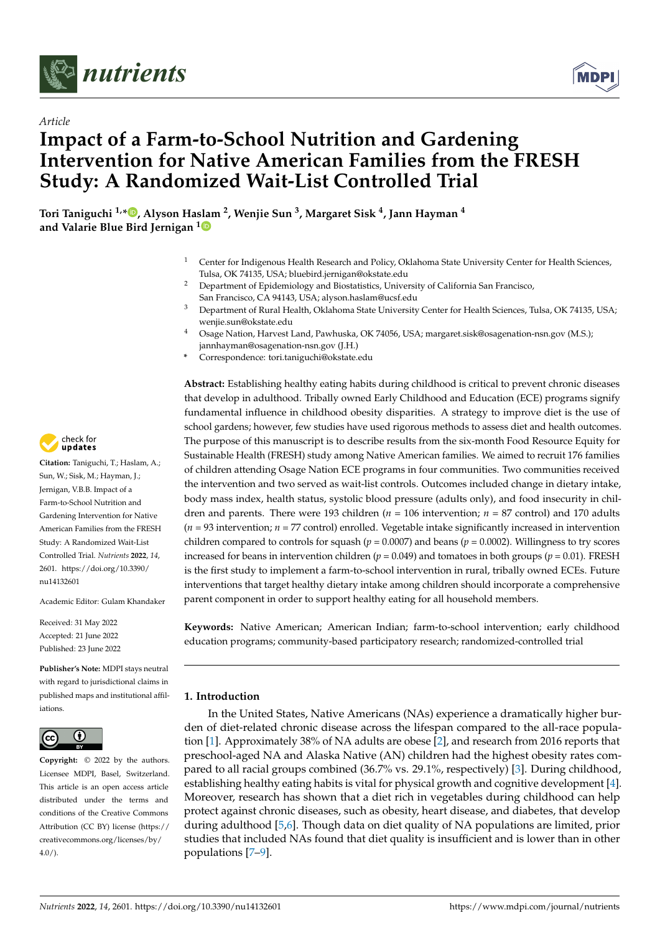



# *Article* **Impact of a Farm-to-School Nutrition and Gardening Intervention for Native American Families from the FRESH Study: A Randomized Wait-List Controlled Trial**

**Tori Taniguchi 1,[\\*](https://orcid.org/0000-0002-6761-212X) , Alyson Haslam <sup>2</sup> , Wenjie Sun <sup>3</sup> , Margaret Sisk <sup>4</sup> , Jann Hayman <sup>4</sup> and Valarie Blue Bird Jernigan [1](https://orcid.org/0000-0002-3965-8518)**

- <sup>1</sup> Center for Indigenous Health Research and Policy, Oklahoma State University Center for Health Sciences, Tulsa, OK 74135, USA; bluebird.jernigan@okstate.edu
- <sup>2</sup> Department of Epidemiology and Biostatistics, University of California San Francisco, San Francisco, CA 94143, USA; alyson.haslam@ucsf.edu
- <sup>3</sup> Department of Rural Health, Oklahoma State University Center for Health Sciences, Tulsa, OK 74135, USA; wenjie.sun@okstate.edu
- <sup>4</sup> Osage Nation, Harvest Land, Pawhuska, OK 74056, USA; margaret.sisk@osagenation-nsn.gov (M.S.); jannhayman@osagenation-nsn.gov (J.H.)
- **\*** Correspondence: tori.taniguchi@okstate.edu

**Abstract:** Establishing healthy eating habits during childhood is critical to prevent chronic diseases that develop in adulthood. Tribally owned Early Childhood and Education (ECE) programs signify fundamental influence in childhood obesity disparities. A strategy to improve diet is the use of school gardens; however, few studies have used rigorous methods to assess diet and health outcomes. The purpose of this manuscript is to describe results from the six-month Food Resource Equity for Sustainable Health (FRESH) study among Native American families. We aimed to recruit 176 families of children attending Osage Nation ECE programs in four communities. Two communities received the intervention and two served as wait-list controls. Outcomes included change in dietary intake, body mass index, health status, systolic blood pressure (adults only), and food insecurity in children and parents. There were 193 children (*n* = 106 intervention; *n* = 87 control) and 170 adults  $(n = 93$  intervention;  $n = 77$  control) enrolled. Vegetable intake significantly increased in intervention children compared to controls for squash ( $p = 0.0007$ ) and beans ( $p = 0.0002$ ). Willingness to try scores increased for beans in intervention children ( $p = 0.049$ ) and tomatoes in both groups ( $p = 0.01$ ). FRESH is the first study to implement a farm-to-school intervention in rural, tribally owned ECEs. Future interventions that target healthy dietary intake among children should incorporate a comprehensive parent component in order to support healthy eating for all household members.

**Keywords:** Native American; American Indian; farm-to-school intervention; early childhood education programs; community-based participatory research; randomized-controlled trial

## **1. Introduction**

In the United States, Native Americans (NAs) experience a dramatically higher burden of diet-related chronic disease across the lifespan compared to the all-race population [\[1\]](#page-12-0). Approximately 38% of NA adults are obese [\[2\]](#page-12-1), and research from 2016 reports that preschool-aged NA and Alaska Native (AN) children had the highest obesity rates compared to all racial groups combined (36.7% vs. 29.1%, respectively) [\[3\]](#page-12-2). During childhood, establishing healthy eating habits is vital for physical growth and cognitive development [\[4\]](#page-12-3). Moreover, research has shown that a diet rich in vegetables during childhood can help protect against chronic diseases, such as obesity, heart disease, and diabetes, that develop during adulthood [\[5,](#page-12-4)[6\]](#page-12-5). Though data on diet quality of NA populations are limited, prior studies that included NAs found that diet quality is insufficient and is lower than in other populations [\[7–](#page-12-6)[9\]](#page-12-7).



**Citation:** Taniguchi, T.; Haslam, A.; Sun, W.; Sisk, M.; Hayman, J.; Jernigan, V.B.B. Impact of a Farm-to-School Nutrition and Gardening Intervention for Native American Families from the FRESH Study: A Randomized Wait-List Controlled Trial. *Nutrients* **2022**, *14*, 2601. [https://doi.org/10.3390/](https://doi.org/10.3390/nu14132601) [nu14132601](https://doi.org/10.3390/nu14132601)

Academic Editor: Gulam Khandaker

Received: 31 May 2022 Accepted: 21 June 2022 Published: 23 June 2022

**Publisher's Note:** MDPI stays neutral with regard to jurisdictional claims in published maps and institutional affiliations.



**Copyright:** © 2022 by the authors. Licensee MDPI, Basel, Switzerland. This article is an open access article distributed under the terms and conditions of the Creative Commons Attribution (CC BY) license [\(https://](https://creativecommons.org/licenses/by/4.0/) [creativecommons.org/licenses/by/](https://creativecommons.org/licenses/by/4.0/)  $4.0/$ ).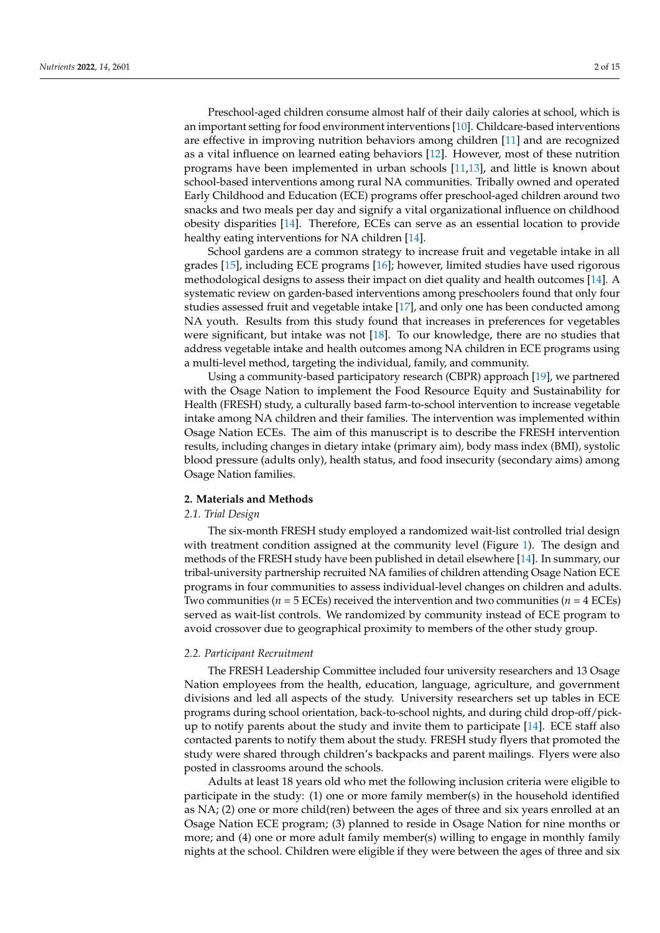Preschool-aged children consume almost half of their daily calories at school, which is an important setting for food environment interventions [\[10\]](#page-12-8). Childcare-based interventions are effective in improving nutrition behaviors among children [\[11\]](#page-12-9) and are recognized as a vital influence on learned eating behaviors [\[12\]](#page-12-10). However, most of these nutrition programs have been implemented in urban schools [\[11,](#page-12-9)[13\]](#page-12-11), and little is known about school-based interventions among rural NA communities. Tribally owned and operated Early Childhood and Education (ECE) programs offer preschool-aged children around two snacks and two meals per day and signify a vital organizational influence on childhood obesity disparities [\[14\]](#page-12-12). Therefore, ECEs can serve as an essential location to provide healthy eating interventions for NA children [\[14\]](#page-12-12).

School gardens are a common strategy to increase fruit and vegetable intake in all grades [\[15\]](#page-12-13), including ECE programs [\[16\]](#page-12-14); however, limited studies have used rigorous methodological designs to assess their impact on diet quality and health outcomes [\[14\]](#page-12-12). A systematic review on garden-based interventions among preschoolers found that only four studies assessed fruit and vegetable intake [\[17\]](#page-12-15), and only one has been conducted among NA youth. Results from this study found that increases in preferences for vegetables were significant, but intake was not [\[18\]](#page-12-16). To our knowledge, there are no studies that address vegetable intake and health outcomes among NA children in ECE programs using a multi-level method, targeting the individual, family, and community.

Using a community-based participatory research (CBPR) approach [\[19\]](#page-12-17), we partnered with the Osage Nation to implement the Food Resource Equity and Sustainability for Health (FRESH) study, a culturally based farm-to-school intervention to increase vegetable intake among NA children and their families. The intervention was implemented within Osage Nation ECEs. The aim of this manuscript is to describe the FRESH intervention results, including changes in dietary intake (primary aim), body mass index (BMI), systolic blood pressure (adults only), health status, and food insecurity (secondary aims) among Osage Nation families.

#### **2. Materials and Methods**

#### *2.1. Trial Design*

The six-month FRESH study employed a randomized wait-list controlled trial design with treatment condition assigned at the community level (Figure [1\)](#page-2-0). The design and methods of the FRESH study have been published in detail elsewhere [\[14\]](#page-12-12). In summary, our tribal-university partnership recruited NA families of children attending Osage Nation ECE programs in four communities to assess individual-level changes on children and adults. Two communities ( $n = 5$  ECEs) received the intervention and two communities ( $n = 4$  ECEs) served as wait-list controls. We randomized by community instead of ECE program to avoid crossover due to geographical proximity to members of the other study group.

#### *2.2. Participant Recruitment*

The FRESH Leadership Committee included four university researchers and 13 Osage Nation employees from the health, education, language, agriculture, and government divisions and led all aspects of the study. University researchers set up tables in ECE programs during school orientation, back-to-school nights, and during child drop-off/pickup to notify parents about the study and invite them to participate [\[14\]](#page-12-12). ECE staff also contacted parents to notify them about the study. FRESH study flyers that promoted the study were shared through children's backpacks and parent mailings. Flyers were also posted in classrooms around the schools.

Adults at least 18 years old who met the following inclusion criteria were eligible to participate in the study: (1) one or more family member(s) in the household identified as NA; (2) one or more child(ren) between the ages of three and six years enrolled at an Osage Nation ECE program; (3) planned to reside in Osage Nation for nine months or more; and (4) one or more adult family member(s) willing to engage in monthly family nights at the school. Children were eligible if they were between the ages of three and six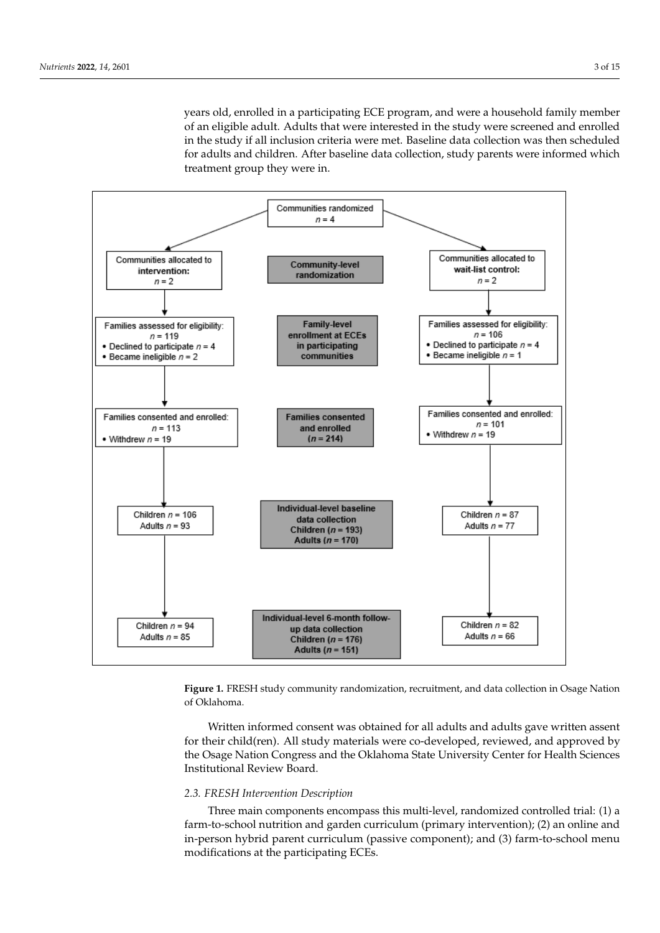years old, enrolled in a participating ECE program, and were a household family member of an eligible adult. Adults that were interested in the study were screened and enrolled in the study if all inclusion criteria were met. Baseline data collection was then scheduled *In the chang* **2** and and children. After baseline data collection, study parents were informed which treatment group they were in.

<span id="page-2-0"></span>

Figure 1. FRESH study community randomization, recruitment, and data collection in Osage Nation of Oklahoma.

Written informed consent was obtained for all adults and adults gave written assent for their child(ren). All study materials were co-developed, reviewed, and approved by the Osage Nation Congress and the Oklahoma State University Center for Health Sciences mentuminal Neview Doard. Institutional Review Board.

# 2.3. FRESH Intervention Description

Three main components encompass this multi-level, randomized controlled trial: (1) a farm-to-school nutrition and garden curriculum (primary intervention); (2) an online and in-person hybrid parent curriculum (passive component); and (3) farm-to-school menu modifications at the participating ECEs.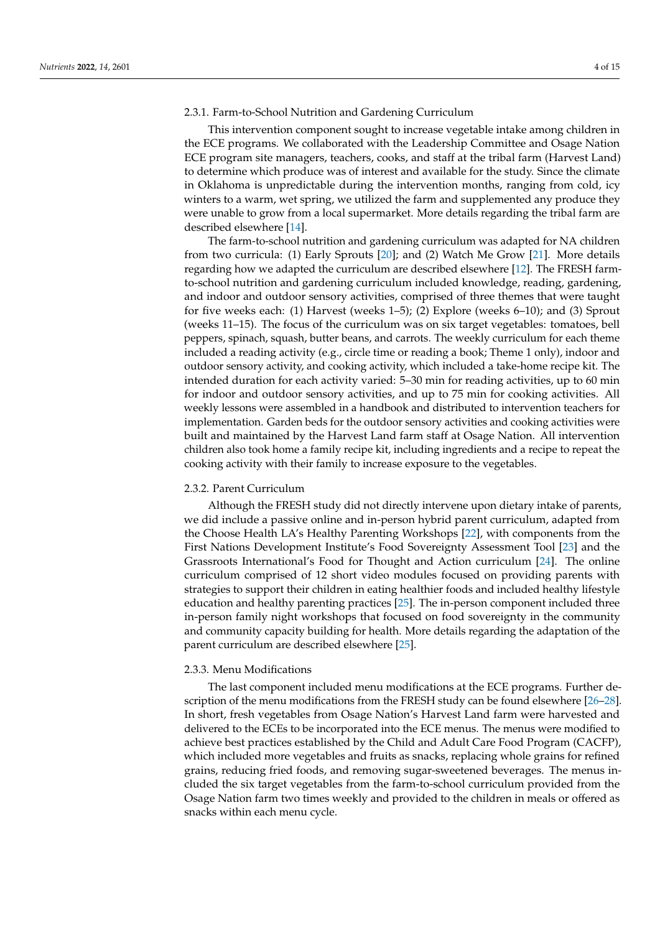#### 2.3.1. Farm-to-School Nutrition and Gardening Curriculum

This intervention component sought to increase vegetable intake among children in the ECE programs. We collaborated with the Leadership Committee and Osage Nation ECE program site managers, teachers, cooks, and staff at the tribal farm (Harvest Land) to determine which produce was of interest and available for the study. Since the climate in Oklahoma is unpredictable during the intervention months, ranging from cold, icy winters to a warm, wet spring, we utilized the farm and supplemented any produce they were unable to grow from a local supermarket. More details regarding the tribal farm are described elsewhere [\[14\]](#page-12-12).

The farm-to-school nutrition and gardening curriculum was adapted for NA children from two curricula: (1) Early Sprouts [\[20\]](#page-13-0); and (2) Watch Me Grow [\[21\]](#page-13-1). More details regarding how we adapted the curriculum are described elsewhere [\[12\]](#page-12-10). The FRESH farmto-school nutrition and gardening curriculum included knowledge, reading, gardening, and indoor and outdoor sensory activities, comprised of three themes that were taught for five weeks each: (1) Harvest (weeks 1–5); (2) Explore (weeks 6–10); and (3) Sprout (weeks 11–15). The focus of the curriculum was on six target vegetables: tomatoes, bell peppers, spinach, squash, butter beans, and carrots. The weekly curriculum for each theme included a reading activity (e.g., circle time or reading a book; Theme 1 only), indoor and outdoor sensory activity, and cooking activity, which included a take-home recipe kit. The intended duration for each activity varied: 5–30 min for reading activities, up to 60 min for indoor and outdoor sensory activities, and up to 75 min for cooking activities. All weekly lessons were assembled in a handbook and distributed to intervention teachers for implementation. Garden beds for the outdoor sensory activities and cooking activities were built and maintained by the Harvest Land farm staff at Osage Nation. All intervention children also took home a family recipe kit, including ingredients and a recipe to repeat the cooking activity with their family to increase exposure to the vegetables.

#### 2.3.2. Parent Curriculum

Although the FRESH study did not directly intervene upon dietary intake of parents, we did include a passive online and in-person hybrid parent curriculum, adapted from the Choose Health LA's Healthy Parenting Workshops [\[22\]](#page-13-2), with components from the First Nations Development Institute's Food Sovereignty Assessment Tool [\[23\]](#page-13-3) and the Grassroots International's Food for Thought and Action curriculum [\[24\]](#page-13-4). The online curriculum comprised of 12 short video modules focused on providing parents with strategies to support their children in eating healthier foods and included healthy lifestyle education and healthy parenting practices [\[25\]](#page-13-5). The in-person component included three in-person family night workshops that focused on food sovereignty in the community and community capacity building for health. More details regarding the adaptation of the parent curriculum are described elsewhere [\[25\]](#page-13-5).

#### 2.3.3. Menu Modifications

The last component included menu modifications at the ECE programs. Further description of the menu modifications from the FRESH study can be found elsewhere [\[26](#page-13-6)[–28\]](#page-13-7). In short, fresh vegetables from Osage Nation's Harvest Land farm were harvested and delivered to the ECEs to be incorporated into the ECE menus. The menus were modified to achieve best practices established by the Child and Adult Care Food Program (CACFP), which included more vegetables and fruits as snacks, replacing whole grains for refined grains, reducing fried foods, and removing sugar-sweetened beverages. The menus included the six target vegetables from the farm-to-school curriculum provided from the Osage Nation farm two times weekly and provided to the children in meals or offered as snacks within each menu cycle.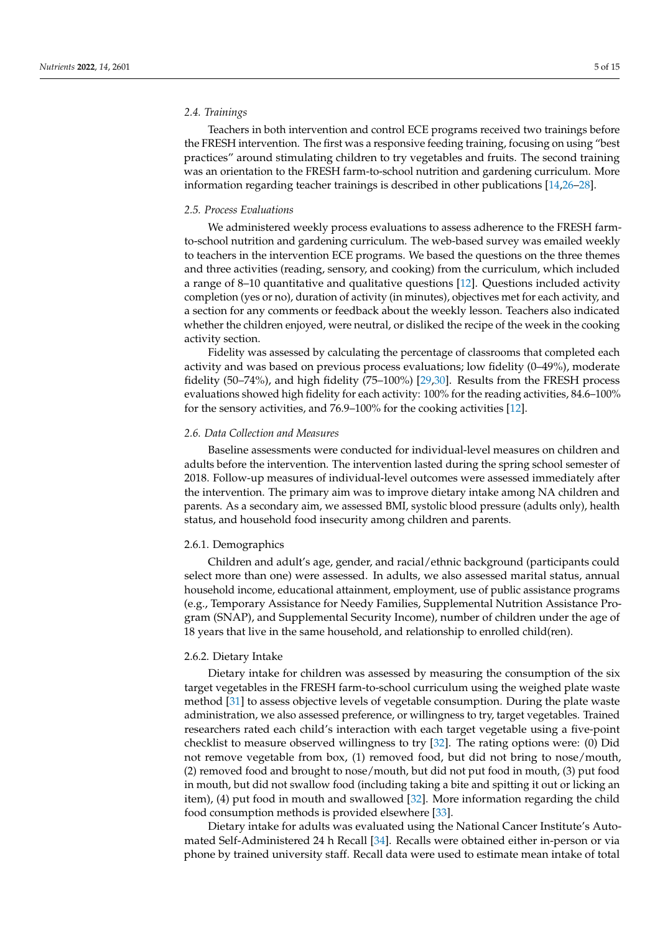#### *2.4. Trainings*

Teachers in both intervention and control ECE programs received two trainings before the FRESH intervention. The first was a responsive feeding training, focusing on using "best practices" around stimulating children to try vegetables and fruits. The second training was an orientation to the FRESH farm-to-school nutrition and gardening curriculum. More information regarding teacher trainings is described in other publications [\[14,](#page-12-12)[26](#page-13-6)[–28\]](#page-13-7).

#### *2.5. Process Evaluations*

We administered weekly process evaluations to assess adherence to the FRESH farmto-school nutrition and gardening curriculum. The web-based survey was emailed weekly to teachers in the intervention ECE programs. We based the questions on the three themes and three activities (reading, sensory, and cooking) from the curriculum, which included a range of 8–10 quantitative and qualitative questions [\[12\]](#page-12-10). Questions included activity completion (yes or no), duration of activity (in minutes), objectives met for each activity, and a section for any comments or feedback about the weekly lesson. Teachers also indicated whether the children enjoyed, were neutral, or disliked the recipe of the week in the cooking activity section.

Fidelity was assessed by calculating the percentage of classrooms that completed each activity and was based on previous process evaluations; low fidelity (0–49%), moderate fidelity (50–74%), and high fidelity (75–100%) [\[29](#page-13-8)[,30\]](#page-13-9). Results from the FRESH process evaluations showed high fidelity for each activity: 100% for the reading activities, 84.6–100% for the sensory activities, and 76.9–100% for the cooking activities [\[12\]](#page-12-10).

#### *2.6. Data Collection and Measures*

Baseline assessments were conducted for individual-level measures on children and adults before the intervention. The intervention lasted during the spring school semester of 2018. Follow-up measures of individual-level outcomes were assessed immediately after the intervention. The primary aim was to improve dietary intake among NA children and parents. As a secondary aim, we assessed BMI, systolic blood pressure (adults only), health status, and household food insecurity among children and parents.

#### 2.6.1. Demographics

Children and adult's age, gender, and racial/ethnic background (participants could select more than one) were assessed. In adults, we also assessed marital status, annual household income, educational attainment, employment, use of public assistance programs (e.g., Temporary Assistance for Needy Families, Supplemental Nutrition Assistance Program (SNAP), and Supplemental Security Income), number of children under the age of 18 years that live in the same household, and relationship to enrolled child(ren).

#### 2.6.2. Dietary Intake

Dietary intake for children was assessed by measuring the consumption of the six target vegetables in the FRESH farm-to-school curriculum using the weighed plate waste method [\[31\]](#page-13-10) to assess objective levels of vegetable consumption. During the plate waste administration, we also assessed preference, or willingness to try, target vegetables. Trained researchers rated each child's interaction with each target vegetable using a five-point checklist to measure observed willingness to try [\[32\]](#page-13-11). The rating options were: (0) Did not remove vegetable from box, (1) removed food, but did not bring to nose/mouth, (2) removed food and brought to nose/mouth, but did not put food in mouth, (3) put food in mouth, but did not swallow food (including taking a bite and spitting it out or licking an item), (4) put food in mouth and swallowed [\[32\]](#page-13-11). More information regarding the child food consumption methods is provided elsewhere [\[33\]](#page-13-12).

Dietary intake for adults was evaluated using the National Cancer Institute's Automated Self-Administered 24 h Recall [\[34\]](#page-13-13). Recalls were obtained either in-person or via phone by trained university staff. Recall data were used to estimate mean intake of total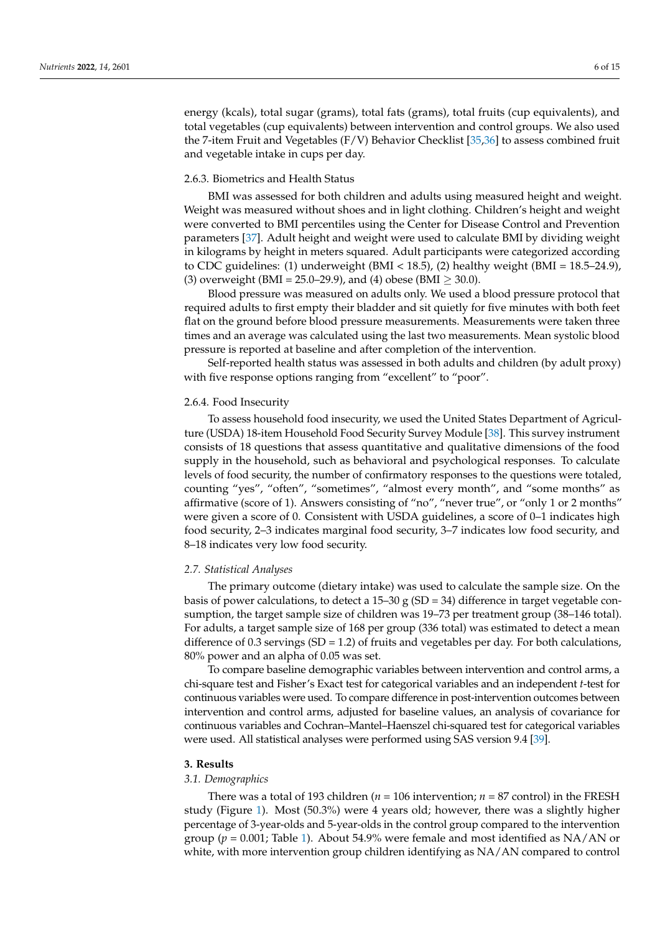energy (kcals), total sugar (grams), total fats (grams), total fruits (cup equivalents), and total vegetables (cup equivalents) between intervention and control groups. We also used the 7-item Fruit and Vegetables (F/V) Behavior Checklist [\[35](#page-13-14)[,36\]](#page-13-15) to assess combined fruit and vegetable intake in cups per day.

#### 2.6.3. Biometrics and Health Status

BMI was assessed for both children and adults using measured height and weight. Weight was measured without shoes and in light clothing. Children's height and weight were converted to BMI percentiles using the Center for Disease Control and Prevention parameters [\[37\]](#page-13-16). Adult height and weight were used to calculate BMI by dividing weight in kilograms by height in meters squared. Adult participants were categorized according to CDC guidelines: (1) underweight (BMI < 18.5), (2) healthy weight (BMI = 18.5–24.9), (3) overweight (BMI = 25.0–29.9), and (4) obese (BMI  $\geq$  30.0).

Blood pressure was measured on adults only. We used a blood pressure protocol that required adults to first empty their bladder and sit quietly for five minutes with both feet flat on the ground before blood pressure measurements. Measurements were taken three times and an average was calculated using the last two measurements. Mean systolic blood pressure is reported at baseline and after completion of the intervention.

Self-reported health status was assessed in both adults and children (by adult proxy) with five response options ranging from "excellent" to "poor".

#### 2.6.4. Food Insecurity

To assess household food insecurity, we used the United States Department of Agriculture (USDA) 18-item Household Food Security Survey Module [\[38\]](#page-13-17). This survey instrument consists of 18 questions that assess quantitative and qualitative dimensions of the food supply in the household, such as behavioral and psychological responses. To calculate levels of food security, the number of confirmatory responses to the questions were totaled, counting "yes", "often", "sometimes", "almost every month", and "some months" as affirmative (score of 1). Answers consisting of "no", "never true", or "only 1 or 2 months" were given a score of 0. Consistent with USDA guidelines, a score of 0–1 indicates high food security, 2–3 indicates marginal food security, 3–7 indicates low food security, and 8–18 indicates very low food security.

#### *2.7. Statistical Analyses*

The primary outcome (dietary intake) was used to calculate the sample size. On the basis of power calculations, to detect a  $15-30$  g (SD = 34) difference in target vegetable consumption, the target sample size of children was 19–73 per treatment group (38–146 total). For adults, a target sample size of 168 per group (336 total) was estimated to detect a mean difference of 0.3 servings  $(SD = 1.2)$  of fruits and vegetables per day. For both calculations, 80% power and an alpha of 0.05 was set.

To compare baseline demographic variables between intervention and control arms, a chi-square test and Fisher's Exact test for categorical variables and an independent *t*-test for continuous variables were used. To compare difference in post-intervention outcomes between intervention and control arms, adjusted for baseline values, an analysis of covariance for continuous variables and Cochran–Mantel–Haenszel chi-squared test for categorical variables were used. All statistical analyses were performed using SAS version 9.4 [\[39\]](#page-13-18).

#### **3. Results**

#### *3.1. Demographics*

There was a total of 193 children ( $n = 106$  intervention;  $n = 87$  control) in the FRESH study (Figure [1\)](#page-2-0). Most (50.3%) were 4 years old; however, there was a slightly higher percentage of 3-year-olds and 5-year-olds in the control group compared to the intervention group ( $p = 0.001$ ; Table [1\)](#page-7-0). About 54.9% were female and most identified as NA/AN or white, with more intervention group children identifying as NA/AN compared to control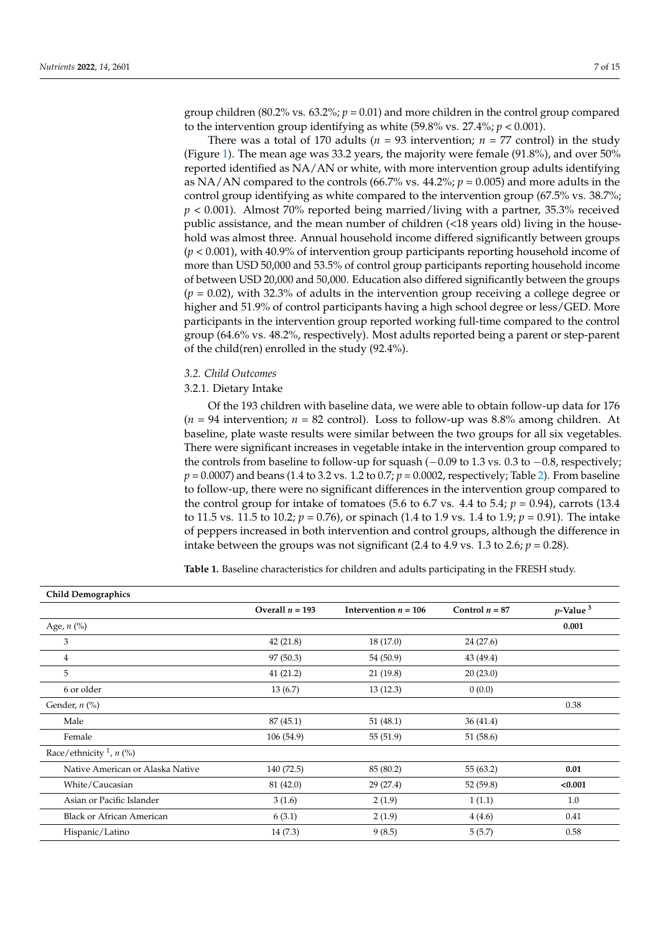group children (80.2% vs.  $63.2\%$ ;  $p = 0.01$ ) and more children in the control group compared to the intervention group identifying as white  $(59.8\% \text{ vs. } 27.4\%; p < 0.001)$ .

There was a total of 170 adults ( $n = 93$  intervention;  $n = 77$  control) in the study (Figure [1\)](#page-2-0). The mean age was 33.2 years, the majority were female (91.8%), and over 50% reported identified as NA/AN or white, with more intervention group adults identifying as NA/AN compared to the controls  $(66.7\% \text{ vs. } 44.2\%; p = 0.005)$  and more adults in the control group identifying as white compared to the intervention group (67.5% vs. 38.7%;  $p < 0.001$ ). Almost 70% reported being married/living with a partner, 35.3% received public assistance, and the mean number of children (<18 years old) living in the household was almost three. Annual household income differed significantly between groups (*p* < 0.001), with 40.9% of intervention group participants reporting household income of more than USD 50,000 and 53.5% of control group participants reporting household income of between USD 20,000 and 50,000. Education also differed significantly between the groups (*p* = 0.02), with 32.3% of adults in the intervention group receiving a college degree or higher and 51.9% of control participants having a high school degree or less/GED. More participants in the intervention group reported working full-time compared to the control group (64.6% vs. 48.2%, respectively). Most adults reported being a parent or step-parent of the child(ren) enrolled in the study (92.4%).

#### *3.2. Child Outcomes*

#### 3.2.1. Dietary Intake

Of the 193 children with baseline data, we were able to obtain follow-up data for 176  $(n = 94$  intervention;  $n = 82$  control). Loss to follow-up was 8.8% among children. At baseline, plate waste results were similar between the two groups for all six vegetables. There were significant increases in vegetable intake in the intervention group compared to the controls from baseline to follow-up for squash (−0.09 to 1.3 vs. 0.3 to −0.8, respectively; *p* = 0.0007) and beans (1.4 to 3.2 vs. 1.2 to 0.7; *p* = 0.0002, respectively; Table [2\)](#page-8-0). From baseline to follow-up, there were no significant differences in the intervention group compared to the control group for intake of tomatoes (5.6 to 6.7 vs. 4.4 to 5.4;  $p = 0.94$ ), carrots (13.4) to 11.5 vs. 11.5 to 10.2; *p* = 0.76), or spinach (1.4 to 1.9 vs. 1.4 to 1.9; *p* = 0.91). The intake of peppers increased in both intervention and control groups, although the difference in intake between the groups was not significant (2.4 to 4.9 vs. 1.3 to 2.6;  $p = 0.28$ ).

**Table 1.** Baseline characteristics for children and adults participating in the FRESH study.

| <b>Child Demographics</b>              |                   |                        |                  |                         |
|----------------------------------------|-------------------|------------------------|------------------|-------------------------|
|                                        | Overall $n = 193$ | Intervention $n = 106$ | Control $n = 87$ | $p$ -Value <sup>3</sup> |
| Age, $n$ (%)                           |                   |                        |                  | 0.001                   |
| 3                                      | 42(21.8)          | 18 (17.0)              | 24 (27.6)        |                         |
| 4                                      | 97 (50.3)         | 54 (50.9)              | 43 (49.4)        |                         |
| 5                                      | 41(21.2)          | 21(19.8)               | 20(23.0)         |                         |
| 6 or older                             | 13(6.7)           | 13(12.3)               | 0(0.0)           |                         |
| Gender, $n$ (%)                        |                   |                        |                  | 0.38                    |
| Male                                   | 87(45.1)          | 51(48.1)               | 36(41.4)         |                         |
| Female                                 | 106(54.9)         | 55(51.9)               | 51 (58.6)        |                         |
| Race/ethnicity $\frac{1}{n}$ , $n$ (%) |                   |                        |                  |                         |
| Native American or Alaska Native       | 140 (72.5)        | 85 (80.2)              | 55(63.2)         | 0.01                    |
| White/Caucasian                        | 81 (42.0)         | 29(27.4)               | 52(59.8)         | < 0.001                 |
| Asian or Pacific Islander              | 3(1.6)            | 2(1.9)                 | 1(1.1)           | 1.0                     |
| <b>Black or African American</b>       | 6(3.1)            | 2(1.9)                 | 4(4.6)           | 0.41                    |
| Hispanic/Latino                        | 14(7.3)           | 9(8.5)                 | 5(5.7)           | 0.58                    |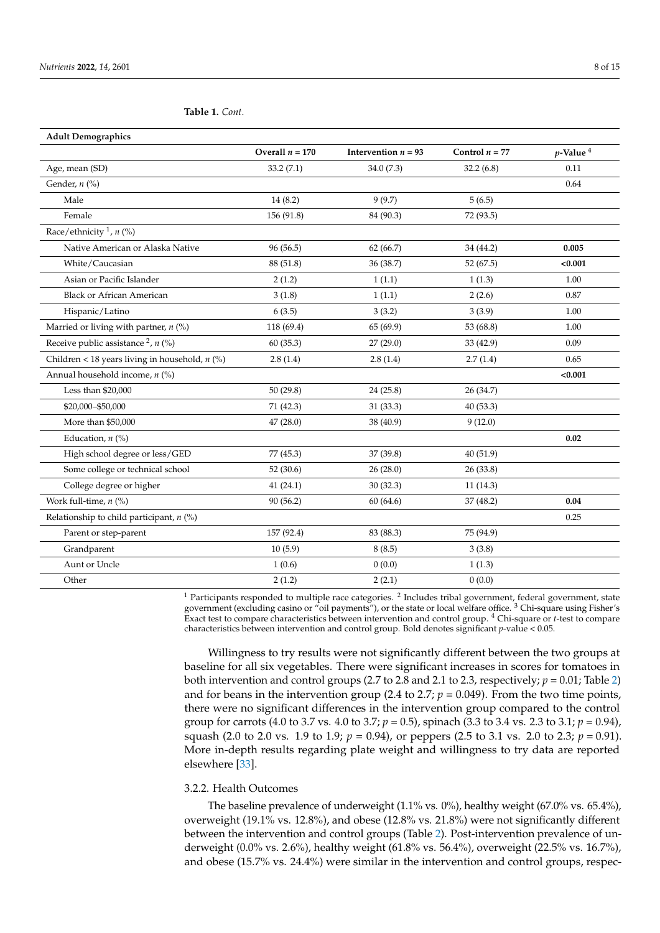<span id="page-7-0"></span>**Table 1.** *Cont.*

| <b>Adult Demographics</b>                        |                   |                       |                  |                         |
|--------------------------------------------------|-------------------|-----------------------|------------------|-------------------------|
|                                                  | Overall $n = 170$ | Intervention $n = 93$ | Control $n = 77$ | $p$ -Value <sup>4</sup> |
| Age, mean (SD)                                   | 33.2(7.1)         | 34.0(7.3)             | 32.2(6.8)        | 0.11                    |
| Gender, $n$ (%)                                  |                   |                       |                  | 0.64                    |
| Male                                             | 14(8.2)           | 9(9.7)                | 5(6.5)           |                         |
| Female                                           | 156 (91.8)        | 84 (90.3)             | 72 (93.5)        |                         |
| Race/ethnicity <sup>1</sup> , $n$ (%)            |                   |                       |                  |                         |
| Native American or Alaska Native                 | 96 (56.5)         | 62(66.7)              | 34 (44.2)        | 0.005                   |
| White/Caucasian                                  | 88 (51.8)         | 36 (38.7)             | 52 (67.5)        | < 0.001                 |
| Asian or Pacific Islander                        | 2(1.2)            | 1(1.1)                | 1(1.3)           | 1.00                    |
| <b>Black or African American</b>                 | 3(1.8)            | 1(1.1)                | 2(2.6)           | 0.87                    |
| Hispanic/Latino                                  | 6(3.5)            | 3(3.2)                | 3(3.9)           | 1.00                    |
| Married or living with partner, $n$ (%)          | 118 (69.4)        | 65 (69.9)             | 53 (68.8)        | 1.00                    |
| Receive public assistance $^{2}$ , $n$ (%)       | 60 (35.3)         | 27 (29.0)             | 33 (42.9)        | 0.09                    |
| Children < 18 years living in household, $n$ (%) | 2.8(1.4)          | 2.8(1.4)              | 2.7(1.4)         | 0.65                    |
| Annual household income, n (%)                   |                   |                       |                  | < 0.001                 |
| Less than \$20,000                               | 50(29.8)          | 24(25.8)              | 26 (34.7)        |                         |
| \$20,000-\$50,000                                | 71 (42.3)         | 31 (33.3)             | 40 (53.3)        |                         |
| More than \$50,000                               | 47 (28.0)         | 38 (40.9)             | 9(12.0)          |                         |
| Education, $n$ (%)                               |                   |                       |                  | 0.02                    |
| High school degree or less/GED                   | 77 (45.3)         | 37 (39.8)             | 40 (51.9)        |                         |
| Some college or technical school                 | 52(30.6)          | 26(28.0)              | 26(33.8)         |                         |
| College degree or higher                         | 41(24.1)          | 30(32.3)              | 11(14.3)         |                         |
| Work full-time, $n$ (%)                          | 90(56.2)          | 60(64.6)              | 37(48.2)         | 0.04                    |
| Relationship to child participant, $n$ (%)       |                   |                       |                  | 0.25                    |
| Parent or step-parent                            | 157 (92.4)        | 83 (88.3)             | 75 (94.9)        |                         |
| Grandparent                                      | 10(5.9)           | 8(8.5)                | 3(3.8)           |                         |
| Aunt or Uncle                                    | 1(0.6)            | 0(0.0)                | 1(1.3)           |                         |
| Other                                            | 2(1.2)            | 2(2.1)                | 0(0.0)           |                         |

 $<sup>1</sup>$  Participants responded to multiple race categories.  $<sup>2</sup>$  Includes tribal government, federal government, state</sup></sup> government (excluding casino or "oil payments"), or the state or local welfare office. <sup>3</sup> Chi-square using Fisher's Exact test to compare characteristics between intervention and control group. <sup>4</sup> Chi-square or *t*-test to compare characteristics between intervention and control group. Bold denotes significant *p*-value < 0.05.

Willingness to try results were not significantly different between the two groups at baseline for all six vegetables. There were significant increases in scores for tomatoes in both intervention and control groups (2.7 to 2.8 and 2.1 to 2.3, respectively;  $p = 0.01$ ; Table [2\)](#page-8-0) and for beans in the intervention group (2.4 to 2.7;  $p = 0.049$ ). From the two time points, there were no significant differences in the intervention group compared to the control group for carrots (4.0 to 3.7 vs. 4.0 to 3.7; *p* = 0.5), spinach (3.3 to 3.4 vs. 2.3 to 3.1; *p* = 0.94), squash (2.0 to 2.0 vs. 1.9 to 1.9;  $p = 0.94$ ), or peppers (2.5 to 3.1 vs. 2.0 to 2.3;  $p = 0.91$ ). More in-depth results regarding plate weight and willingness to try data are reported elsewhere [\[33\]](#page-13-12).

#### 3.2.2. Health Outcomes

The baseline prevalence of underweight (1.1% vs. 0%), healthy weight (67.0% vs. 65.4%), overweight (19.1% vs. 12.8%), and obese (12.8% vs. 21.8%) were not significantly different between the intervention and control groups (Table [2\)](#page-8-0). Post-intervention prevalence of underweight (0.0% vs. 2.6%), healthy weight (61.8% vs. 56.4%), overweight (22.5% vs. 16.7%), and obese (15.7% vs. 24.4%) were similar in the intervention and control groups, respec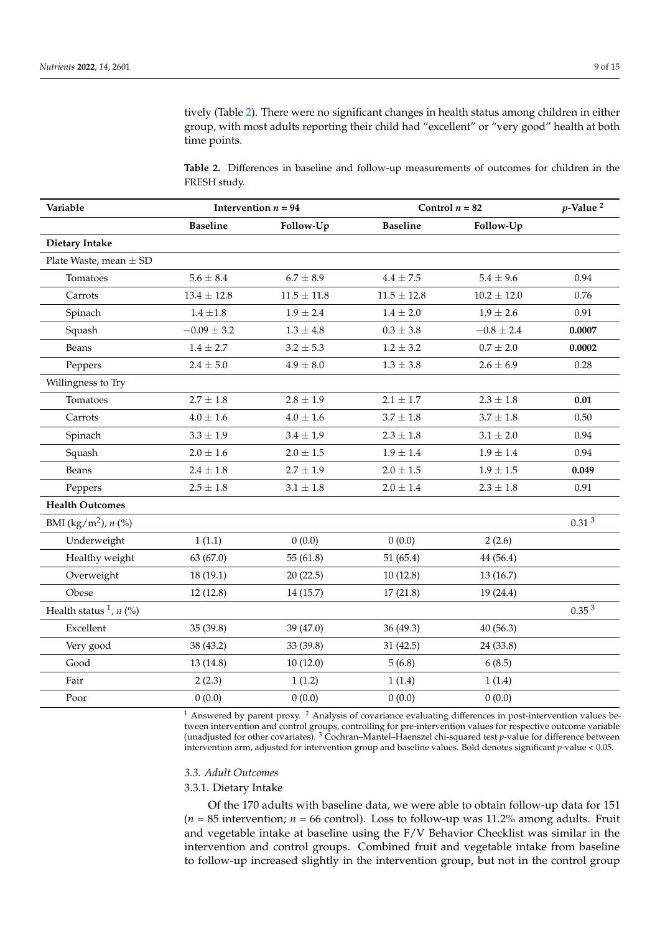tively (Table [2\)](#page-8-0). There were no significant changes in health status among children in either group, with most adults reporting their child had "excellent" or "very good" health at both time points.

<span id="page-8-0"></span>**Table 2.** Differences in baseline and follow-up measurements of outcomes for children in the FRESH study.

| Variable                          | Intervention $n = 94$ |                 | Control $n = 82$ | $p$ -Value <sup>2</sup> |                   |
|-----------------------------------|-----------------------|-----------------|------------------|-------------------------|-------------------|
|                                   | <b>Baseline</b>       | Follow-Up       | <b>Baseline</b>  | Follow-Up               |                   |
| <b>Dietary Intake</b>             |                       |                 |                  |                         |                   |
| Plate Waste, mean $\pm$ SD        |                       |                 |                  |                         |                   |
| Tomatoes                          | $5.6 \pm 8.4$         | $6.7 \pm 8.9$   | $4.4 \pm 7.5$    | $5.4 \pm 9.6$           | 0.94              |
| Carrots                           | $13.4 \pm 12.8$       | $11.5 \pm 11.8$ | $11.5 \pm 12.8$  | $10.2 \pm 12.0$         | 0.76              |
| Spinach                           | $1.4 \pm 1.8$         | $1.9 \pm 2.4$   | $1.4\pm2.0$      | $1.9 \pm 2.6$           | 0.91              |
| Squash                            | $-0.09 \pm 3.2$       | $1.3\pm4.8$     | $0.3\pm3.8$      | $-0.8 \pm 2.4$          | 0.0007            |
| Beans                             | $1.4 \pm 2.7$         | $3.2 \pm 5.3$   | $1.2 \pm 3.2$    | $0.7 \pm 2.0$           | 0.0002            |
| Peppers                           | $2.4\pm5.0$           | $4.9\pm8.0$     | $1.3\pm3.8$      | $2.6 \pm 6.9$           | 0.28              |
| Willingness to Try                |                       |                 |                  |                         |                   |
| Tomatoes                          | $2.7 \pm 1.8$         | $2.8 \pm 1.9$   | $2.1 \pm 1.7$    | $2.3 \pm 1.8$           | 0.01              |
| Carrots                           | $4.0 \pm 1.6$         | $4.0 \pm 1.6$   | $3.7 \pm 1.8$    | $3.7 \pm 1.8$           | 0.50              |
| Spinach                           | $3.3 \pm 1.9$         | $3.4 \pm 1.9$   | $2.3 \pm 1.8$    | $3.1 \pm 2.0$           | 0.94              |
| Squash                            | $2.0 \pm 1.6$         | $2.0 \pm 1.5$   | $1.9 \pm 1.4$    | $1.9 \pm 1.4$           | 0.94              |
| Beans                             | $2.4 \pm 1.8$         | $2.7 \pm 1.9$   | $2.0 \pm 1.5$    | $1.9 \pm 1.5$           | 0.049             |
| Peppers                           | $2.5\pm1.8$           | $3.1 \pm 1.8$   | $2.0 \pm 1.4$    | $2.3 \pm 1.8$           | 0.91              |
| <b>Health Outcomes</b>            |                       |                 |                  |                         |                   |
| BMI (kg/m <sup>2</sup> ), $n$ (%) |                       |                 |                  |                         | 0.31 <sup>3</sup> |
| Underweight                       | 1(1.1)                | 0(0.0)          | 0(0.0)           | 2(2.6)                  |                   |
| Healthy weight                    | 63 (67.0)             | 55(61.8)        | 51 $(65.4)$      | 44 (56.4)               |                   |
| Overweight                        | 18 (19.1)             | 20(22.5)        | 10(12.8)         | 13(16.7)                |                   |
| Obese                             | 12(12.8)              | 14 (15.7)       | 17(21.8)         | 19(24.4)                |                   |
| Health status $\frac{1}{n}$ (%)   |                       |                 |                  |                         | 0.35 <sup>3</sup> |
| Excellent                         | 35 (39.8)             | 39 (47.0)       | 36(49.3)         | 40(56.3)                |                   |
| Very good                         | 38 (43.2)             | 33 (39.8)       | 31(42.5)         | 24(33.8)                |                   |
| Good                              | 13(14.8)              | 10(12.0)        | 5(6.8)           | 6(8.5)                  |                   |
| Fair                              | 2(2.3)                | 1(1.2)          | 1(1.4)           | 1(1.4)                  |                   |
| Poor                              | 0(0.0)                | 0(0.0)          | 0(0.0)           | 0(0.0)                  |                   |

<sup>1</sup> Answered by parent proxy. <sup>2</sup> Analysis of covariance evaluating differences in post-intervention values between intervention and control groups, controlling for pre-intervention values for respective outcome variable (unadjusted for other covariates). <sup>3</sup> Cochran–Mantel–Haenszel chi-squared test *p*-value for difference between intervention arm, adjusted for intervention group and baseline values. Bold denotes significant *p*-value < 0.05.

#### *3.3. Adult Outcomes*

#### 3.3.1. Dietary Intake

Of the 170 adults with baseline data, we were able to obtain follow-up data for 151  $(n = 85$  intervention;  $n = 66$  control). Loss to follow-up was 11.2% among adults. Fruit and vegetable intake at baseline using the F/V Behavior Checklist was similar in the intervention and control groups. Combined fruit and vegetable intake from baseline to follow-up increased slightly in the intervention group, but not in the control group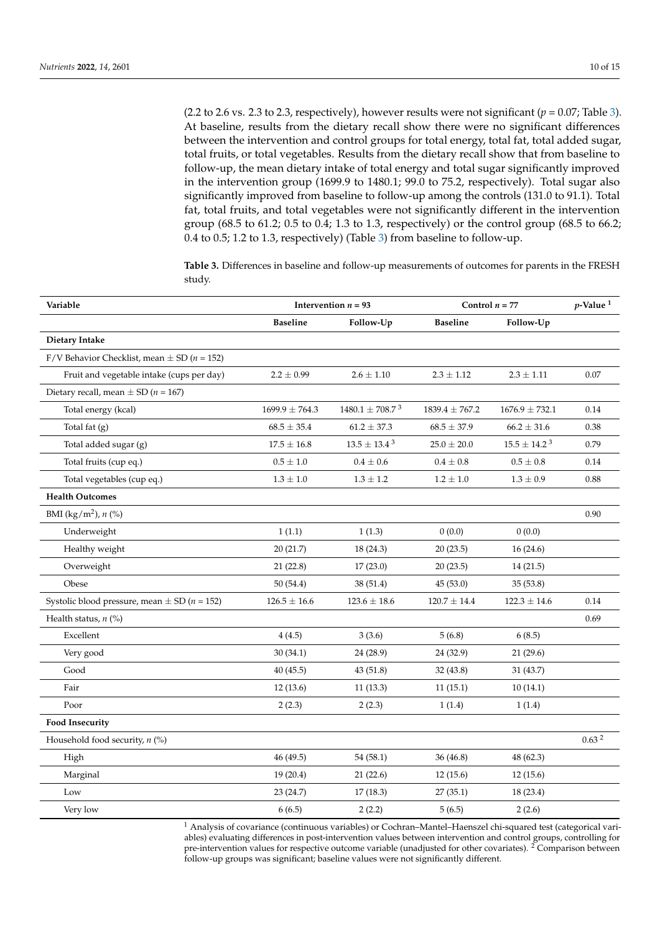(2.2 to 2.6 vs. 2.3 to 2.3, respectively), however results were not significant ( $p = 0.07$ ; Table [3\)](#page-9-0). At baseline, results from the dietary recall show there were no significant differences between the intervention and control groups for total energy, total fat, total added sugar, total fruits, or total vegetables. Results from the dietary recall show that from baseline to follow-up, the mean dietary intake of total energy and total sugar significantly improved in the intervention group (1699.9 to 1480.1; 99.0 to 75.2, respectively). Total sugar also significantly improved from baseline to follow-up among the controls (131.0 to 91.1). Total fat, total fruits, and total vegetables were not significantly different in the intervention group (68.5 to 61.2; 0.5 to 0.4; 1.3 to 1.3, respectively) or the control group (68.5 to 66.2; 0.4 to 0.5; 1.2 to 1.3, respectively) (Table [3\)](#page-9-0) from baseline to follow-up.

<span id="page-9-0"></span>**Table 3.** Differences in baseline and follow-up measurements of outcomes for parents in the FRESH study.

| Variable                                                 | Intervention $n = 93$ |                      | Control $n = 77$   |                    | $p$ -Value <sup>1</sup> |
|----------------------------------------------------------|-----------------------|----------------------|--------------------|--------------------|-------------------------|
|                                                          | <b>Baseline</b>       | Follow-Up            | <b>Baseline</b>    | Follow-Up          |                         |
| Dietary Intake                                           |                       |                      |                    |                    |                         |
| F/V Behavior Checklist, mean $\pm$ SD ( <i>n</i> = 152)  |                       |                      |                    |                    |                         |
| Fruit and vegetable intake (cups per day)                | $2.2 \pm 0.99$        | $2.6 \pm 1.10$       | $2.3 \pm 1.12$     | $2.3 \pm 1.11$     | 0.07                    |
| Dietary recall, mean $\pm$ SD ( <i>n</i> = 167)          |                       |                      |                    |                    |                         |
| Total energy (kcal)                                      | $1699.9 \pm 764.3$    | $1480.1 \pm 708.7^3$ | $1839.4 \pm 767.2$ | $1676.9 \pm 732.1$ | 0.14                    |
| Total fat $(g)$                                          | $68.5 \pm 35.4$       | $61.2 \pm 37.3$      | $68.5 \pm 37.9$    | $66.2 \pm 31.6$    | 0.38                    |
| Total added sugar (g)                                    | $17.5 \pm 16.8$       | $13.5 \pm 13.4^3$    | $25.0\pm20.0$      | $15.5 \pm 14.2^3$  | 0.79                    |
| Total fruits (cup eq.)                                   | $0.5\pm1.0$           | $0.4\,\pm\,0.6$      | $0.4 \pm 0.8$      | $0.5 \pm 0.8$      | 0.14                    |
| Total vegetables (cup eq.)                               | $1.3 \pm 1.0$         | $1.3 \pm 1.2$        | $1.2 \pm 1.0$      | $1.3 \pm 0.9$      | 0.88                    |
| <b>Health Outcomes</b>                                   |                       |                      |                    |                    |                         |
| BMI (kg/m <sup>2</sup> ), $n$ (%)                        |                       |                      |                    |                    | 0.90                    |
| Underweight                                              | 1(1.1)                | 1(1.3)               | 0(0.0)             | 0(0.0)             |                         |
| Healthy weight                                           | 20(21.7)              | 18(24.3)             | 20(23.5)           | 16(24.6)           |                         |
| Overweight                                               | 21(22.8)              | 17(23.0)             | 20(23.5)           | 14(21.5)           |                         |
| Obese                                                    | 50 (54.4)             | 38 (51.4)            | 45(53.0)           | 35(53.8)           |                         |
| Systolic blood pressure, mean $\pm$ SD ( <i>n</i> = 152) | $126.5 \pm 16.6$      | $123.6 \pm 18.6$     | $120.7 \pm 14.4$   | $122.3 \pm 14.6$   | 0.14                    |
| Health status, $n$ (%)                                   |                       |                      |                    |                    | 0.69                    |
| Excellent                                                | 4(4.5)                | 3(3.6)               | 5(6.8)             | 6(8.5)             |                         |
| Very good                                                | 30(34.1)              | 24 (28.9)            | 24 (32.9)          | 21(29.6)           |                         |
| Good                                                     | 40(45.5)              | 43(51.8)             | 32 (43.8)          | 31 (43.7)          |                         |
| Fair                                                     | 12(13.6)              | 11(13.3)             | 11(15.1)           | 10(14.1)           |                         |
| Poor                                                     | 2(2.3)                | 2(2.3)               | 1(1.4)             | 1(1.4)             |                         |
| <b>Food Insecurity</b>                                   |                       |                      |                    |                    |                         |
| Household food security, $n$ (%)                         |                       |                      |                    |                    | 0.63 <sup>2</sup>       |
| High                                                     | 46 (49.5)             | 54 (58.1)            | 36 (46.8)          | 48 (62.3)          |                         |
| Marginal                                                 | 19 (20.4)             | 21(22.6)             | 12(15.6)           | 12(15.6)           |                         |
| Low                                                      | 23 (24.7)             | 17(18.3)             | 27(35.1)           | 18 (23.4)          |                         |
| Very low                                                 | 6(6.5)                | 2(2.2)               | 5(6.5)             | 2(2.6)             |                         |

<sup>1</sup> Analysis of covariance (continuous variables) or Cochran–Mantel–Haenszel chi-squared test (categorical variables) evaluating differences in post-intervention values between intervention and control groups, controlling for pre-intervention values for respective outcome variable (unadjusted for other covariates). <sup>2</sup> Comparison between follow-up groups was significant; baseline values were not significantly different.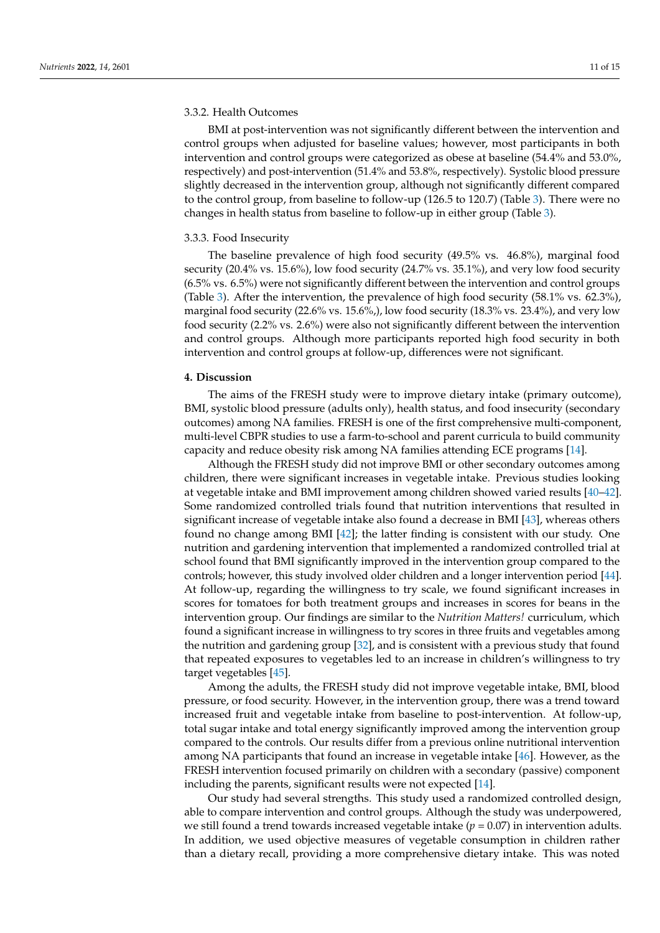#### 3.3.2. Health Outcomes

BMI at post-intervention was not significantly different between the intervention and control groups when adjusted for baseline values; however, most participants in both intervention and control groups were categorized as obese at baseline (54.4% and 53.0%, respectively) and post-intervention (51.4% and 53.8%, respectively). Systolic blood pressure slightly decreased in the intervention group, although not significantly different compared to the control group, from baseline to follow-up (126.5 to 120.7) (Table [3\)](#page-9-0). There were no changes in health status from baseline to follow-up in either group (Table [3\)](#page-9-0).

#### 3.3.3. Food Insecurity

The baseline prevalence of high food security (49.5% vs. 46.8%), marginal food security (20.4% vs. 15.6%), low food security (24.7% vs. 35.1%), and very low food security (6.5% vs. 6.5%) were not significantly different between the intervention and control groups (Table [3\)](#page-9-0). After the intervention, the prevalence of high food security (58.1% vs. 62.3%), marginal food security (22.6% vs. 15.6%,), low food security (18.3% vs. 23.4%), and very low food security (2.2% vs. 2.6%) were also not significantly different between the intervention and control groups. Although more participants reported high food security in both intervention and control groups at follow-up, differences were not significant.

#### **4. Discussion**

The aims of the FRESH study were to improve dietary intake (primary outcome), BMI, systolic blood pressure (adults only), health status, and food insecurity (secondary outcomes) among NA families. FRESH is one of the first comprehensive multi-component, multi-level CBPR studies to use a farm-to-school and parent curricula to build community capacity and reduce obesity risk among NA families attending ECE programs [\[14\]](#page-12-12).

Although the FRESH study did not improve BMI or other secondary outcomes among children, there were significant increases in vegetable intake. Previous studies looking at vegetable intake and BMI improvement among children showed varied results [\[40](#page-13-19)[–42\]](#page-13-20). Some randomized controlled trials found that nutrition interventions that resulted in significant increase of vegetable intake also found a decrease in BMI [\[43\]](#page-13-21), whereas others found no change among BMI [\[42\]](#page-13-20); the latter finding is consistent with our study. One nutrition and gardening intervention that implemented a randomized controlled trial at school found that BMI significantly improved in the intervention group compared to the controls; however, this study involved older children and a longer intervention period [\[44\]](#page-13-22). At follow-up, regarding the willingness to try scale, we found significant increases in scores for tomatoes for both treatment groups and increases in scores for beans in the intervention group. Our findings are similar to the *Nutrition Matters!* curriculum, which found a significant increase in willingness to try scores in three fruits and vegetables among the nutrition and gardening group [\[32\]](#page-13-11), and is consistent with a previous study that found that repeated exposures to vegetables led to an increase in children's willingness to try target vegetables [\[45\]](#page-14-0).

Among the adults, the FRESH study did not improve vegetable intake, BMI, blood pressure, or food security. However, in the intervention group, there was a trend toward increased fruit and vegetable intake from baseline to post-intervention. At follow-up, total sugar intake and total energy significantly improved among the intervention group compared to the controls. Our results differ from a previous online nutritional intervention among NA participants that found an increase in vegetable intake [\[46\]](#page-14-1). However, as the FRESH intervention focused primarily on children with a secondary (passive) component including the parents, significant results were not expected [\[14\]](#page-12-12).

Our study had several strengths. This study used a randomized controlled design, able to compare intervention and control groups. Although the study was underpowered, we still found a trend towards increased vegetable intake  $(p = 0.07)$  in intervention adults. In addition, we used objective measures of vegetable consumption in children rather than a dietary recall, providing a more comprehensive dietary intake. This was noted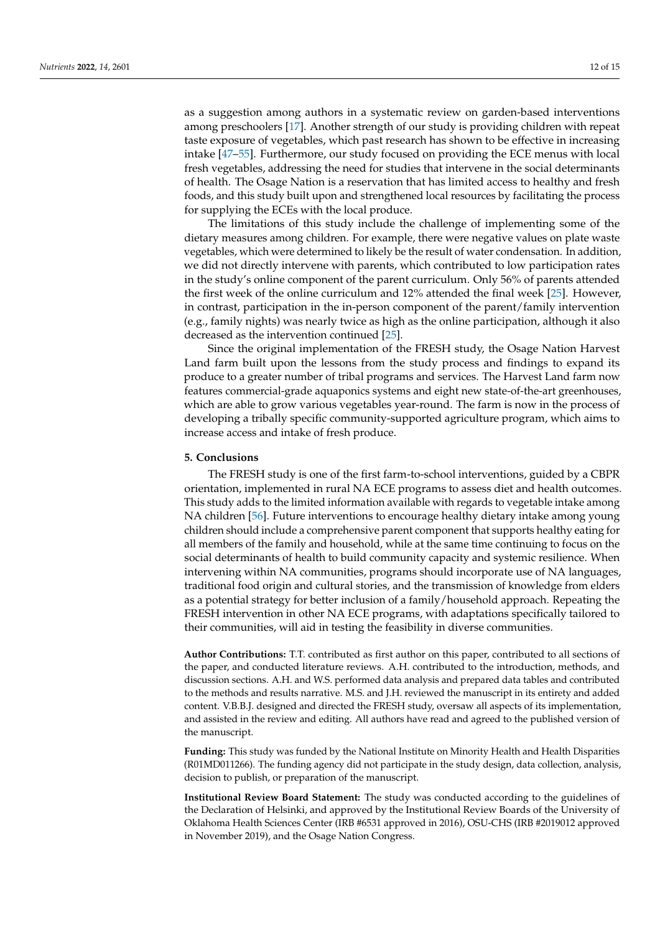as a suggestion among authors in a systematic review on garden-based interventions among preschoolers [\[17\]](#page-12-15). Another strength of our study is providing children with repeat taste exposure of vegetables, which past research has shown to be effective in increasing intake [\[47](#page-14-2)[–55\]](#page-14-3). Furthermore, our study focused on providing the ECE menus with local fresh vegetables, addressing the need for studies that intervene in the social determinants of health. The Osage Nation is a reservation that has limited access to healthy and fresh foods, and this study built upon and strengthened local resources by facilitating the process for supplying the ECEs with the local produce.

The limitations of this study include the challenge of implementing some of the dietary measures among children. For example, there were negative values on plate waste vegetables, which were determined to likely be the result of water condensation. In addition, we did not directly intervene with parents, which contributed to low participation rates in the study's online component of the parent curriculum. Only 56% of parents attended the first week of the online curriculum and 12% attended the final week [\[25\]](#page-13-5). However, in contrast, participation in the in-person component of the parent/family intervention (e.g., family nights) was nearly twice as high as the online participation, although it also decreased as the intervention continued [\[25\]](#page-13-5).

Since the original implementation of the FRESH study, the Osage Nation Harvest Land farm built upon the lessons from the study process and findings to expand its produce to a greater number of tribal programs and services. The Harvest Land farm now features commercial-grade aquaponics systems and eight new state-of-the-art greenhouses, which are able to grow various vegetables year-round. The farm is now in the process of developing a tribally specific community-supported agriculture program, which aims to increase access and intake of fresh produce.

#### **5. Conclusions**

The FRESH study is one of the first farm-to-school interventions, guided by a CBPR orientation, implemented in rural NA ECE programs to assess diet and health outcomes. This study adds to the limited information available with regards to vegetable intake among NA children [\[56\]](#page-14-4). Future interventions to encourage healthy dietary intake among young children should include a comprehensive parent component that supports healthy eating for all members of the family and household, while at the same time continuing to focus on the social determinants of health to build community capacity and systemic resilience. When intervening within NA communities, programs should incorporate use of NA languages, traditional food origin and cultural stories, and the transmission of knowledge from elders as a potential strategy for better inclusion of a family/household approach. Repeating the FRESH intervention in other NA ECE programs, with adaptations specifically tailored to their communities, will aid in testing the feasibility in diverse communities.

**Author Contributions:** T.T. contributed as first author on this paper, contributed to all sections of the paper, and conducted literature reviews. A.H. contributed to the introduction, methods, and discussion sections. A.H. and W.S. performed data analysis and prepared data tables and contributed to the methods and results narrative. M.S. and J.H. reviewed the manuscript in its entirety and added content. V.B.B.J. designed and directed the FRESH study, oversaw all aspects of its implementation, and assisted in the review and editing. All authors have read and agreed to the published version of the manuscript.

**Funding:** This study was funded by the National Institute on Minority Health and Health Disparities (R01MD011266). The funding agency did not participate in the study design, data collection, analysis, decision to publish, or preparation of the manuscript.

**Institutional Review Board Statement:** The study was conducted according to the guidelines of the Declaration of Helsinki, and approved by the Institutional Review Boards of the University of Oklahoma Health Sciences Center (IRB #6531 approved in 2016), OSU-CHS (IRB #2019012 approved in November 2019), and the Osage Nation Congress.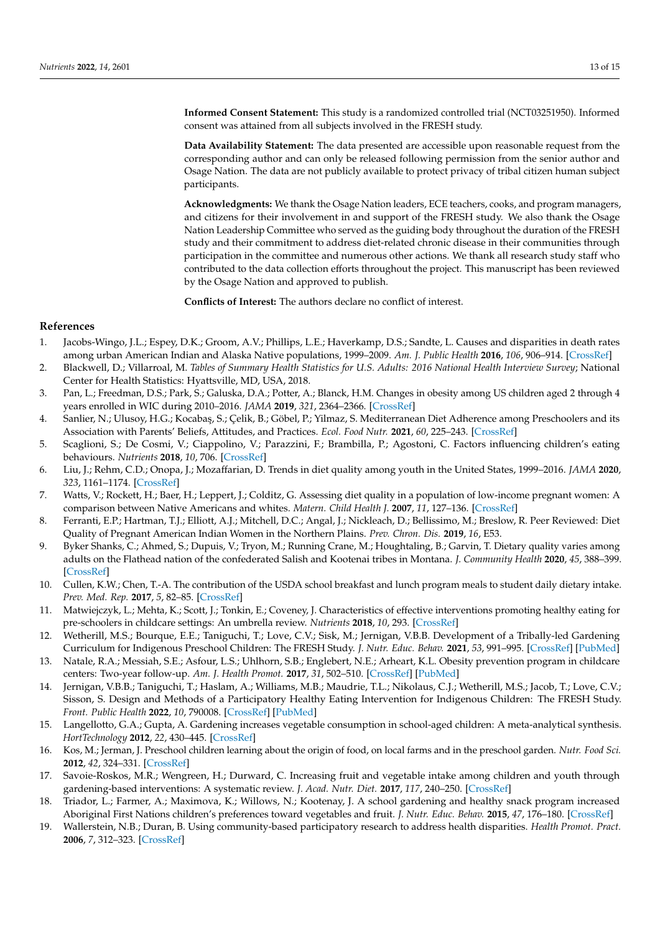**Informed Consent Statement:** This study is a randomized controlled trial (NCT03251950). Informed consent was attained from all subjects involved in the FRESH study.

**Data Availability Statement:** The data presented are accessible upon reasonable request from the corresponding author and can only be released following permission from the senior author and Osage Nation. The data are not publicly available to protect privacy of tribal citizen human subject participants.

**Acknowledgments:** We thank the Osage Nation leaders, ECE teachers, cooks, and program managers, and citizens for their involvement in and support of the FRESH study. We also thank the Osage Nation Leadership Committee who served as the guiding body throughout the duration of the FRESH study and their commitment to address diet-related chronic disease in their communities through participation in the committee and numerous other actions. We thank all research study staff who contributed to the data collection efforts throughout the project. This manuscript has been reviewed by the Osage Nation and approved to publish.

**Conflicts of Interest:** The authors declare no conflict of interest.

### **References**

- <span id="page-12-0"></span>1. Jacobs-Wingo, J.L.; Espey, D.K.; Groom, A.V.; Phillips, L.E.; Haverkamp, D.S.; Sandte, L. Causes and disparities in death rates among urban American Indian and Alaska Native populations, 1999–2009. *Am. J. Public Health* **2016**, *106*, 906–914. [\[CrossRef\]](http://doi.org/10.2105/AJPH.2015.303033)
- <span id="page-12-1"></span>2. Blackwell, D.; Villarroal, M. *Tables of Summary Health Statistics for U.S. Adults: 2016 National Health Interview Survey*; National Center for Health Statistics: Hyattsville, MD, USA, 2018.
- <span id="page-12-2"></span>3. Pan, L.; Freedman, D.S.; Park, S.; Galuska, D.A.; Potter, A.; Blanck, H.M. Changes in obesity among US children aged 2 through 4 years enrolled in WIC during 2010–2016. *JAMA* **2019**, *321*, 2364–2366. [\[CrossRef\]](http://doi.org/10.1001/jama.2019.5051)
- <span id="page-12-3"></span>4. Sanlier, N.; Ulusoy, H.G.; Kocabaş, S.; Çelik, B.; Göbel, P.; Yilmaz, S. Mediterranean Diet Adherence among Preschoolers and its Association with Parents' Beliefs, Attitudes, and Practices. *Ecol. Food Nutr.* **2021**, *60*, 225–243. [\[CrossRef\]](http://doi.org/10.1080/03670244.2020.1833874)
- <span id="page-12-4"></span>5. Scaglioni, S.; De Cosmi, V.; Ciappolino, V.; Parazzini, F.; Brambilla, P.; Agostoni, C. Factors influencing children's eating behaviours. *Nutrients* **2018**, *10*, 706. [\[CrossRef\]](http://doi.org/10.3390/nu10060706)
- <span id="page-12-5"></span>6. Liu, J.; Rehm, C.D.; Onopa, J.; Mozaffarian, D. Trends in diet quality among youth in the United States, 1999–2016. *JAMA* **2020**, *323*, 1161–1174. [\[CrossRef\]](http://doi.org/10.1001/jama.2020.0878)
- <span id="page-12-6"></span>7. Watts, V.; Rockett, H.; Baer, H.; Leppert, J.; Colditz, G. Assessing diet quality in a population of low-income pregnant women: A comparison between Native Americans and whites. *Matern. Child Health J.* **2007**, *11*, 127–136. [\[CrossRef\]](http://doi.org/10.1007/s10995-006-0155-2)
- 8. Ferranti, E.P.; Hartman, T.J.; Elliott, A.J.; Mitchell, D.C.; Angal, J.; Nickleach, D.; Bellissimo, M.; Breslow, R. Peer Reviewed: Diet Quality of Pregnant American Indian Women in the Northern Plains. *Prev. Chron. Dis.* **2019**, *16*, E53.
- <span id="page-12-7"></span>9. Byker Shanks, C.; Ahmed, S.; Dupuis, V.; Tryon, M.; Running Crane, M.; Houghtaling, B.; Garvin, T. Dietary quality varies among adults on the Flathead nation of the confederated Salish and Kootenai tribes in Montana. *J. Community Health* **2020**, *45*, 388–399. [\[CrossRef\]](http://doi.org/10.1007/s10900-019-00753-3)
- <span id="page-12-8"></span>10. Cullen, K.W.; Chen, T.-A. The contribution of the USDA school breakfast and lunch program meals to student daily dietary intake. *Prev. Med. Rep.* **2017**, *5*, 82–85. [\[CrossRef\]](http://doi.org/10.1016/j.pmedr.2016.11.016)
- <span id="page-12-9"></span>11. Matwiejczyk, L.; Mehta, K.; Scott, J.; Tonkin, E.; Coveney, J. Characteristics of effective interventions promoting healthy eating for pre-schoolers in childcare settings: An umbrella review. *Nutrients* **2018**, *10*, 293. [\[CrossRef\]](http://doi.org/10.3390/nu10030293)
- <span id="page-12-10"></span>12. Wetherill, M.S.; Bourque, E.E.; Taniguchi, T.; Love, C.V.; Sisk, M.; Jernigan, V.B.B. Development of a Tribally-led Gardening Curriculum for Indigenous Preschool Children: The FRESH Study. *J. Nutr. Educ. Behav.* **2021**, *53*, 991–995. [\[CrossRef\]](http://doi.org/10.1016/j.jneb.2021.07.011) [\[PubMed\]](http://www.ncbi.nlm.nih.gov/pubmed/34420871)
- <span id="page-12-11"></span>13. Natale, R.A.; Messiah, S.E.; Asfour, L.S.; Uhlhorn, S.B.; Englebert, N.E.; Arheart, K.L. Obesity prevention program in childcare centers: Two-year follow-up. *Am. J. Health Promot.* **2017**, *31*, 502–510. [\[CrossRef\]](http://doi.org/10.1177/0890117116661156) [\[PubMed\]](http://www.ncbi.nlm.nih.gov/pubmed/27630110)
- <span id="page-12-12"></span>14. Jernigan, V.B.B.; Taniguchi, T.; Haslam, A.; Williams, M.B.; Maudrie, T.L.; Nikolaus, C.J.; Wetherill, M.S.; Jacob, T.; Love, C.V.; Sisson, S. Design and Methods of a Participatory Healthy Eating Intervention for Indigenous Children: The FRESH Study. *Front. Public Health* **2022**, *10*, 790008. [\[CrossRef\]](http://doi.org/10.3389/fpubh.2022.790008) [\[PubMed\]](http://www.ncbi.nlm.nih.gov/pubmed/35296044)
- <span id="page-12-13"></span>15. Langellotto, G.A.; Gupta, A. Gardening increases vegetable consumption in school-aged children: A meta-analytical synthesis. *HortTechnology* **2012**, *22*, 430–445. [\[CrossRef\]](http://doi.org/10.21273/HORTTECH.22.4.430)
- <span id="page-12-14"></span>16. Kos, M.; Jerman, J. Preschool children learning about the origin of food, on local farms and in the preschool garden. *Nutr. Food Sci.* **2012**, *42*, 324–331. [\[CrossRef\]](http://doi.org/10.1108/00346651211266836)
- <span id="page-12-15"></span>17. Savoie-Roskos, M.R.; Wengreen, H.; Durward, C. Increasing fruit and vegetable intake among children and youth through gardening-based interventions: A systematic review. *J. Acad. Nutr. Diet.* **2017**, *117*, 240–250. [\[CrossRef\]](http://doi.org/10.1016/j.jand.2016.10.014)
- <span id="page-12-16"></span>18. Triador, L.; Farmer, A.; Maximova, K.; Willows, N.; Kootenay, J. A school gardening and healthy snack program increased Aboriginal First Nations children's preferences toward vegetables and fruit. *J. Nutr. Educ. Behav.* **2015**, *47*, 176–180. [\[CrossRef\]](http://doi.org/10.1016/j.jneb.2014.09.002)
- <span id="page-12-17"></span>19. Wallerstein, N.B.; Duran, B. Using community-based participatory research to address health disparities. *Health Promot. Pract.* **2006**, *7*, 312–323. [\[CrossRef\]](http://doi.org/10.1177/1524839906289376)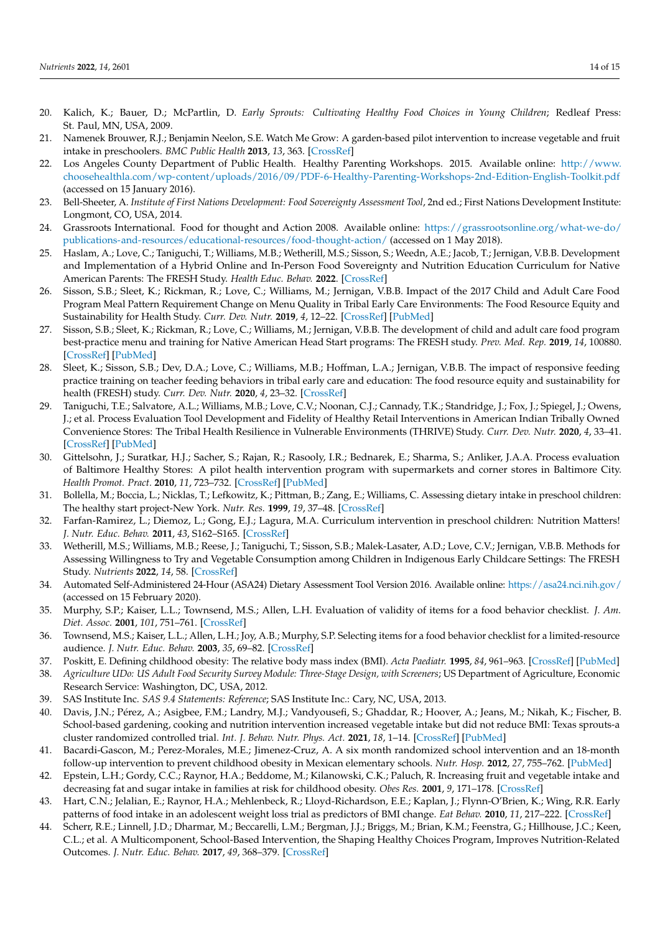- <span id="page-13-0"></span>20. Kalich, K.; Bauer, D.; McPartlin, D. *Early Sprouts: Cultivating Healthy Food Choices in Young Children*; Redleaf Press: St. Paul, MN, USA, 2009.
- <span id="page-13-1"></span>21. Namenek Brouwer, R.J.; Benjamin Neelon, S.E. Watch Me Grow: A garden-based pilot intervention to increase vegetable and fruit intake in preschoolers. *BMC Public Health* **2013**, *13*, 363. [\[CrossRef\]](http://doi.org/10.1186/1471-2458-13-363)
- <span id="page-13-2"></span>22. Los Angeles County Department of Public Health. Healthy Parenting Workshops. 2015. Available online: [http://www.](http://www.choosehealthla.com/wp-content/uploads/2016/09/PDF-6-Healthy-Parenting-Workshops-2nd-Edition-English-Toolkit.pdf) [choosehealthla.com/wp-content/uploads/2016/09/PDF-6-Healthy-Parenting-Workshops-2nd-Edition-English-Toolkit.pdf](http://www.choosehealthla.com/wp-content/uploads/2016/09/PDF-6-Healthy-Parenting-Workshops-2nd-Edition-English-Toolkit.pdf) (accessed on 15 January 2016).
- <span id="page-13-3"></span>23. Bell-Sheeter, A. *Institute of First Nations Development: Food Sovereignty Assessment Tool*, 2nd ed.; First Nations Development Institute: Longmont, CO, USA, 2014.
- <span id="page-13-4"></span>24. Grassroots International. Food for thought and Action 2008. Available online: [https://grassrootsonline.org/what-we-do/](https://grassrootsonline.org/what-we-do/publications-and-resources/educational-resources/food-thought-action/) [publications-and-resources/educational-resources/food-thought-action/](https://grassrootsonline.org/what-we-do/publications-and-resources/educational-resources/food-thought-action/) (accessed on 1 May 2018).
- <span id="page-13-5"></span>25. Haslam, A.; Love, C.; Taniguchi, T.; Williams, M.B.; Wetherill, M.S.; Sisson, S.; Weedn, A.E.; Jacob, T.; Jernigan, V.B.B. Development and Implementation of a Hybrid Online and In-Person Food Sovereignty and Nutrition Education Curriculum for Native American Parents: The FRESH Study. *Health Educ. Behav.* **2022**. [\[CrossRef\]](http://doi.org/10.1177/10901981211067168)
- <span id="page-13-6"></span>26. Sisson, S.B.; Sleet, K.; Rickman, R.; Love, C.; Williams, M.; Jernigan, V.B.B. Impact of the 2017 Child and Adult Care Food Program Meal Pattern Requirement Change on Menu Quality in Tribal Early Care Environments: The Food Resource Equity and Sustainability for Health Study. *Curr. Dev. Nutr.* **2019**, *4*, 12–22. [\[CrossRef\]](http://doi.org/10.1093/cdn/nzz094) [\[PubMed\]](http://www.ncbi.nlm.nih.gov/pubmed/32258995)
- 27. Sisson, S.B.; Sleet, K.; Rickman, R.; Love, C.; Williams, M.; Jernigan, V.B.B. The development of child and adult care food program best-practice menu and training for Native American Head Start programs: The FRESH study. *Prev. Med. Rep.* **2019**, *14*, 100880. [\[CrossRef\]](http://doi.org/10.1016/j.pmedr.2019.100880) [\[PubMed\]](http://www.ncbi.nlm.nih.gov/pubmed/31080707)
- <span id="page-13-7"></span>28. Sleet, K.; Sisson, S.B.; Dev, D.A.; Love, C.; Williams, M.B.; Hoffman, L.A.; Jernigan, V.B.B. The impact of responsive feeding practice training on teacher feeding behaviors in tribal early care and education: The food resource equity and sustainability for health (FRESH) study. *Curr. Dev. Nutr.* **2020**, *4*, 23–32. [\[CrossRef\]](http://doi.org/10.1093/cdn/nzz105)
- <span id="page-13-8"></span>29. Taniguchi, T.E.; Salvatore, A.L.; Williams, M.B.; Love, C.V.; Noonan, C.J.; Cannady, T.K.; Standridge, J.; Fox, J.; Spiegel, J.; Owens, J.; et al. Process Evaluation Tool Development and Fidelity of Healthy Retail Interventions in American Indian Tribally Owned Convenience Stores: The Tribal Health Resilience in Vulnerable Environments (THRIVE) Study. *Curr. Dev. Nutr.* **2020**, *4*, 33–41. [\[CrossRef\]](http://doi.org/10.1093/cdn/nzz073) [\[PubMed\]](http://www.ncbi.nlm.nih.gov/pubmed/32258997)
- <span id="page-13-9"></span>30. Gittelsohn, J.; Suratkar, H.J.; Sacher, S.; Rajan, R.; Rasooly, I.R.; Bednarek, E.; Sharma, S.; Anliker, J.A.A. Process evaluation of Baltimore Healthy Stores: A pilot health intervention program with supermarkets and corner stores in Baltimore City. *Health Promot. Pract.* **2010**, *11*, 723–732. [\[CrossRef\]](http://doi.org/10.1177/1524839908329118) [\[PubMed\]](http://www.ncbi.nlm.nih.gov/pubmed/19144859)
- <span id="page-13-10"></span>31. Bollella, M.; Boccia, L.; Nicklas, T.; Lefkowitz, K.; Pittman, B.; Zang, E.; Williams, C. Assessing dietary intake in preschool children: The healthy start project-New York. *Nutr. Res.* **1999**, *19*, 37–48. [\[CrossRef\]](http://doi.org/10.1016/S0271-5317(98)00174-2)
- <span id="page-13-11"></span>32. Farfan-Ramirez, L.; Diemoz, L.; Gong, E.J.; Lagura, M.A. Curriculum intervention in preschool children: Nutrition Matters! *J. Nutr. Educ. Behav.* **2011**, *43*, S162–S165. [\[CrossRef\]](http://doi.org/10.1016/j.jneb.2011.03.007)
- <span id="page-13-12"></span>33. Wetherill, M.S.; Williams, M.B.; Reese, J.; Taniguchi, T.; Sisson, S.B.; Malek-Lasater, A.D.; Love, C.V.; Jernigan, V.B.B. Methods for Assessing Willingness to Try and Vegetable Consumption among Children in Indigenous Early Childcare Settings: The FRESH Study. *Nutrients* **2022**, *14*, 58. [\[CrossRef\]](http://doi.org/10.3390/nu14010058)
- <span id="page-13-13"></span>34. Automated Self-Administered 24-Hour (ASA24) Dietary Assessment Tool Version 2016. Available online: <https://asa24.nci.nih.gov/> (accessed on 15 February 2020).
- <span id="page-13-14"></span>35. Murphy, S.P.; Kaiser, L.L.; Townsend, M.S.; Allen, L.H. Evaluation of validity of items for a food behavior checklist. *J. Am. Diet. Assoc.* **2001**, *101*, 751–761. [\[CrossRef\]](http://doi.org/10.1016/S0002-8223(01)00189-4)
- <span id="page-13-15"></span>36. Townsend, M.S.; Kaiser, L.L.; Allen, L.H.; Joy, A.B.; Murphy, S.P. Selecting items for a food behavior checklist for a limited-resource audience. *J. Nutr. Educ. Behav.* **2003**, *35*, 69–82. [\[CrossRef\]](http://doi.org/10.1016/S1499-4046(06)60043-2)
- <span id="page-13-16"></span>37. Poskitt, E. Defining childhood obesity: The relative body mass index (BMI). *Acta Paediatr.* **1995**, *84*, 961–963. [\[CrossRef\]](http://doi.org/10.1111/j.1651-2227.1995.tb13806.x) [\[PubMed\]](http://www.ncbi.nlm.nih.gov/pubmed/7488831)
- <span id="page-13-17"></span>38. *Agriculture UDo: US Adult Food Security Survey Module: Three-Stage Design, with Screeners*; US Department of Agriculture, Economic Research Service: Washington, DC, USA, 2012.
- <span id="page-13-18"></span>39. SAS Institute Inc. *SAS 9.4 Statements: Reference*; SAS Institute Inc.: Cary, NC, USA, 2013.
- <span id="page-13-19"></span>40. Davis, J.N.; Pérez, A.; Asigbee, F.M.; Landry, M.J.; Vandyousefi, S.; Ghaddar, R.; Hoover, A.; Jeans, M.; Nikah, K.; Fischer, B. School-based gardening, cooking and nutrition intervention increased vegetable intake but did not reduce BMI: Texas sprouts-a cluster randomized controlled trial. *Int. J. Behav. Nutr. Phys. Act.* **2021**, *18*, 1–14. [\[CrossRef\]](http://doi.org/10.1186/s12966-021-01087-x) [\[PubMed\]](http://www.ncbi.nlm.nih.gov/pubmed/33485354)
- 41. Bacardi-Gascon, M.; Perez-Morales, M.E.; Jimenez-Cruz, A. A six month randomized school intervention and an 18-month follow-up intervention to prevent childhood obesity in Mexican elementary schools. *Nutr. Hosp.* **2012**, *27*, 755–762. [\[PubMed\]](http://www.ncbi.nlm.nih.gov/pubmed/23114940)
- <span id="page-13-20"></span>42. Epstein, L.H.; Gordy, C.C.; Raynor, H.A.; Beddome, M.; Kilanowski, C.K.; Paluch, R. Increasing fruit and vegetable intake and decreasing fat and sugar intake in families at risk for childhood obesity. *Obes Res.* **2001**, *9*, 171–178. [\[CrossRef\]](http://doi.org/10.1038/oby.2001.18)
- <span id="page-13-21"></span>43. Hart, C.N.; Jelalian, E.; Raynor, H.A.; Mehlenbeck, R.; Lloyd-Richardson, E.E.; Kaplan, J.; Flynn-O'Brien, K.; Wing, R.R. Early patterns of food intake in an adolescent weight loss trial as predictors of BMI change. *Eat Behav.* **2010**, *11*, 217–222. [\[CrossRef\]](http://doi.org/10.1016/j.eatbeh.2010.05.001)
- <span id="page-13-22"></span>44. Scherr, R.E.; Linnell, J.D.; Dharmar, M.; Beccarelli, L.M.; Bergman, J.J.; Briggs, M.; Brian, K.M.; Feenstra, G.; Hillhouse, J.C.; Keen, C.L.; et al. A Multicomponent, School-Based Intervention, the Shaping Healthy Choices Program, Improves Nutrition-Related Outcomes. *J. Nutr. Educ. Behav.* **2017**, *49*, 368–379. [\[CrossRef\]](http://doi.org/10.1016/j.jneb.2016.12.007)